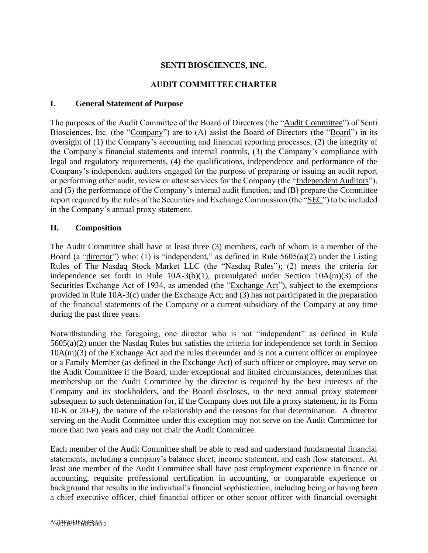### **SENTI BIOSCIENCES, INC.**

#### **AUDIT COMMITTEE CHARTER**

#### **I. General Statement of Purpose**

The purposes of the Audit Committee of the Board of Directors (the "Audit Committee") of Senti Biosciences, Inc. (the "Company") are to (A) assist the Board of Directors (the "Board") in its oversight of (1) the Company's accounting and financial reporting processes; (2) the integrity of the Company's financial statements and internal controls, (3) the Company's compliance with legal and regulatory requirements, (4) the qualifications, independence and performance of the Company's independent auditors engaged for the purpose of preparing or issuing an audit report or performing other audit, review or attest services for the Company (the "Independent Auditors"), and (5) the performance of the Company's internal audit function; and (B) prepare the Committee report required by the rules of the Securities and Exchange Commission (the "SEC") to be included in the Company's annual proxy statement.

#### **II. Composition**

The Audit Committee shall have at least three (3) members, each of whom is a member of the Board (a "director") who: (1) is "independent," as defined in Rule  $5605(a)(2)$  under the Listing Rules of The Nasdaq Stock Market LLC (the "Nasdaq Rules"); (2) meets the criteria for independence set forth in Rule 10A-3(b)(1), promulgated under Section 10A(m)(3) of the Securities Exchange Act of 1934, as amended (the "Exchange Act"), subject to the exemptions provided in Rule 10A-3(c) under the Exchange Act; and (3) has not participated in the preparation of the financial statements of the Company or a current subsidiary of the Company at any time during the past three years.

Notwithstanding the foregoing, one director who is not "independent" as defined in Rule 5605(a)(2) under the Nasdaq Rules but satisfies the criteria for independence set forth in Section 10A(m)(3) of the Exchange Act and the rules thereunder and is not a current officer or employee or a Family Member (as defined in the Exchange Act) of such officer or employee, may serve on the Audit Committee if the Board, under exceptional and limited circumstances, determines that membership on the Audit Committee by the director is required by the best interests of the Company and its stockholders, and the Board discloses, in the next annual proxy statement subsequent to such determination (or, if the Company does not file a proxy statement, in its Form 10-K or 20-F), the nature of the relationship and the reasons for that determination. A director serving on the Audit Committee under this exception may not serve on the Audit Committee for more than two years and may not chair the Audit Committee.

Each member of the Audit Committee shall be able to read and understand fundamental financial statements, including a company's balance sheet, income statement, and cash flow statement. At least one member of the Audit Committee shall have past employment experience in finance or accounting, requisite professional certification in accounting, or comparable experience or background that results in the individual's financial sophistication, including being or having been a chief executive officer, chief financial officer or other senior officer with financial oversight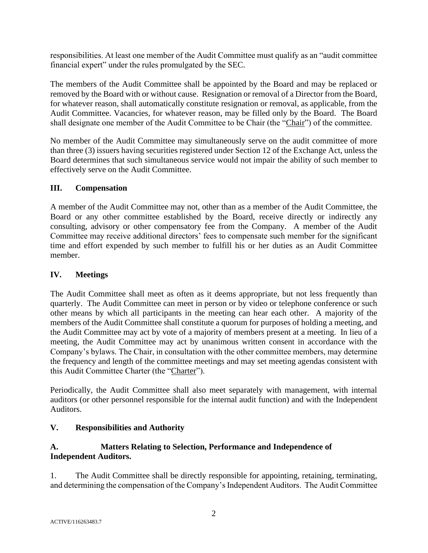responsibilities. At least one member of the Audit Committee must qualify as an "audit committee financial expert" under the rules promulgated by the SEC.

The members of the Audit Committee shall be appointed by the Board and may be replaced or removed by the Board with or without cause. Resignation or removal of a Director from the Board, for whatever reason, shall automatically constitute resignation or removal, as applicable, from the Audit Committee. Vacancies, for whatever reason, may be filled only by the Board. The Board shall designate one member of the Audit Committee to be Chair (the "Chair") of the committee.

No member of the Audit Committee may simultaneously serve on the audit committee of more than three (3) issuers having securities registered under Section 12 of the Exchange Act, unless the Board determines that such simultaneous service would not impair the ability of such member to effectively serve on the Audit Committee.

#### **III. Compensation**

A member of the Audit Committee may not, other than as a member of the Audit Committee, the Board or any other committee established by the Board, receive directly or indirectly any consulting, advisory or other compensatory fee from the Company. A member of the Audit Committee may receive additional directors' fees to compensate such member for the significant time and effort expended by such member to fulfill his or her duties as an Audit Committee member.

#### **IV. Meetings**

The Audit Committee shall meet as often as it deems appropriate, but not less frequently than quarterly. The Audit Committee can meet in person or by video or telephone conference or such other means by which all participants in the meeting can hear each other. A majority of the members of the Audit Committee shall constitute a quorum for purposes of holding a meeting, and the Audit Committee may act by vote of a majority of members present at a meeting. In lieu of a meeting, the Audit Committee may act by unanimous written consent in accordance with the Company's bylaws. The Chair, in consultation with the other committee members, may determine the frequency and length of the committee meetings and may set meeting agendas consistent with this Audit Committee Charter (the "Charter").

Periodically, the Audit Committee shall also meet separately with management, with internal auditors (or other personnel responsible for the internal audit function) and with the Independent Auditors.

#### **V. Responsibilities and Authority**

#### **A. Matters Relating to Selection, Performance and Independence of Independent Auditors.**

1. The Audit Committee shall be directly responsible for appointing, retaining, terminating, and determining the compensation of the Company's Independent Auditors. The Audit Committee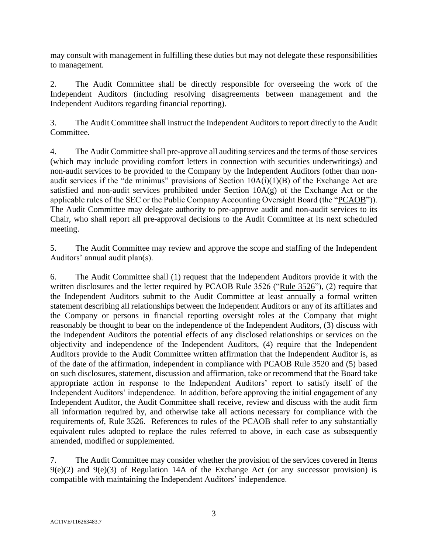may consult with management in fulfilling these duties but may not delegate these responsibilities to management.

2. The Audit Committee shall be directly responsible for overseeing the work of the Independent Auditors (including resolving disagreements between management and the Independent Auditors regarding financial reporting).

3. The Audit Committee shall instruct the Independent Auditors to report directly to the Audit Committee.

4. The Audit Committee shall pre-approve all auditing services and the terms of those services (which may include providing comfort letters in connection with securities underwritings) and non-audit services to be provided to the Company by the Independent Auditors (other than nonaudit services if the "de minimus" provisions of Section  $10A(i)(1)(B)$  of the Exchange Act are satisfied and non-audit services prohibited under Section 10A(g) of the Exchange Act or the applicable rules of the SEC or the Public Company Accounting Oversight Board (the "PCAOB")). The Audit Committee may delegate authority to pre-approve audit and non-audit services to its Chair, who shall report all pre-approval decisions to the Audit Committee at its next scheduled meeting.

5. The Audit Committee may review and approve the scope and staffing of the Independent Auditors' annual audit plan(s).

6. The Audit Committee shall (1) request that the Independent Auditors provide it with the written disclosures and the letter required by PCAOB Rule 3526 ("Rule 3526"), (2) require that the Independent Auditors submit to the Audit Committee at least annually a formal written statement describing all relationships between the Independent Auditors or any of its affiliates and the Company or persons in financial reporting oversight roles at the Company that might reasonably be thought to bear on the independence of the Independent Auditors, (3) discuss with the Independent Auditors the potential effects of any disclosed relationships or services on the objectivity and independence of the Independent Auditors, (4) require that the Independent Auditors provide to the Audit Committee written affirmation that the Independent Auditor is, as of the date of the affirmation, independent in compliance with PCAOB Rule 3520 and (5) based on such disclosures, statement, discussion and affirmation, take or recommend that the Board take appropriate action in response to the Independent Auditors' report to satisfy itself of the Independent Auditors' independence. In addition, before approving the initial engagement of any Independent Auditor, the Audit Committee shall receive, review and discuss with the audit firm all information required by, and otherwise take all actions necessary for compliance with the requirements of, Rule 3526. References to rules of the PCAOB shall refer to any substantially equivalent rules adopted to replace the rules referred to above, in each case as subsequently amended, modified or supplemented.

7. The Audit Committee may consider whether the provision of the services covered in Items  $9(e)(2)$  and  $9(e)(3)$  of Regulation 14A of the Exchange Act (or any successor provision) is compatible with maintaining the Independent Auditors' independence.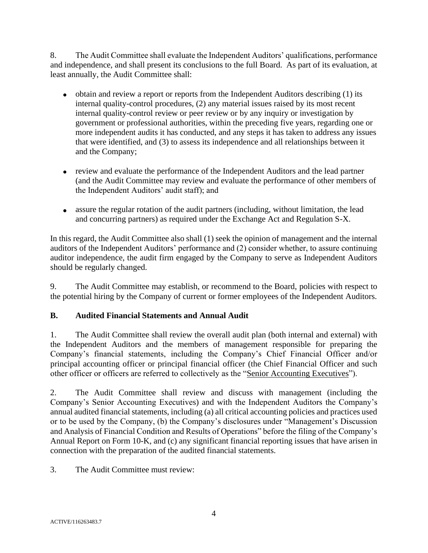8. The Audit Committee shall evaluate the Independent Auditors' qualifications, performance and independence, and shall present its conclusions to the full Board. As part of its evaluation, at least annually, the Audit Committee shall:

- obtain and review a report or reports from the Independent Auditors describing (1) its internal quality-control procedures, (2) any material issues raised by its most recent internal quality-control review or peer review or by any inquiry or investigation by government or professional authorities, within the preceding five years, regarding one or more independent audits it has conducted, and any steps it has taken to address any issues that were identified, and (3) to assess its independence and all relationships between it and the Company;
- review and evaluate the performance of the Independent Auditors and the lead partner (and the Audit Committee may review and evaluate the performance of other members of the Independent Auditors' audit staff); and
- assure the regular rotation of the audit partners (including, without limitation, the lead and concurring partners) as required under the Exchange Act and Regulation S-X.

In this regard, the Audit Committee also shall (1) seek the opinion of management and the internal auditors of the Independent Auditors' performance and (2) consider whether, to assure continuing auditor independence, the audit firm engaged by the Company to serve as Independent Auditors should be regularly changed.

9. The Audit Committee may establish, or recommend to the Board, policies with respect to the potential hiring by the Company of current or former employees of the Independent Auditors.

# **B. Audited Financial Statements and Annual Audit**

1. The Audit Committee shall review the overall audit plan (both internal and external) with the Independent Auditors and the members of management responsible for preparing the Company's financial statements, including the Company's Chief Financial Officer and/or principal accounting officer or principal financial officer (the Chief Financial Officer and such other officer or officers are referred to collectively as the "Senior Accounting Executives").

2. The Audit Committee shall review and discuss with management (including the Company's Senior Accounting Executives) and with the Independent Auditors the Company's annual audited financial statements, including (a) all critical accounting policies and practices used or to be used by the Company, (b) the Company's disclosures under "Management's Discussion and Analysis of Financial Condition and Results of Operations" before the filing of the Company's Annual Report on Form 10-K, and (c) any significant financial reporting issues that have arisen in connection with the preparation of the audited financial statements.

3. The Audit Committee must review: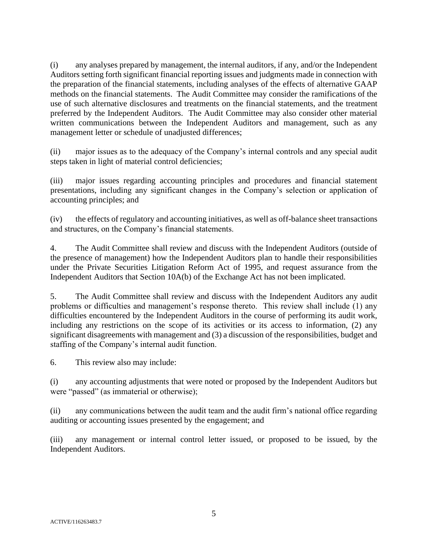(i) any analyses prepared by management, the internal auditors, if any, and/or the Independent Auditors setting forth significant financial reporting issues and judgments made in connection with the preparation of the financial statements, including analyses of the effects of alternative GAAP methods on the financial statements. The Audit Committee may consider the ramifications of the use of such alternative disclosures and treatments on the financial statements, and the treatment preferred by the Independent Auditors. The Audit Committee may also consider other material written communications between the Independent Auditors and management, such as any management letter or schedule of unadjusted differences;

(ii) major issues as to the adequacy of the Company's internal controls and any special audit steps taken in light of material control deficiencies;

(iii) major issues regarding accounting principles and procedures and financial statement presentations, including any significant changes in the Company's selection or application of accounting principles; and

(iv) the effects of regulatory and accounting initiatives, as well as off-balance sheet transactions and structures, on the Company's financial statements.

4. The Audit Committee shall review and discuss with the Independent Auditors (outside of the presence of management) how the Independent Auditors plan to handle their responsibilities under the Private Securities Litigation Reform Act of 1995, and request assurance from the Independent Auditors that Section 10A(b) of the Exchange Act has not been implicated.

5. The Audit Committee shall review and discuss with the Independent Auditors any audit problems or difficulties and management's response thereto. This review shall include (1) any difficulties encountered by the Independent Auditors in the course of performing its audit work, including any restrictions on the scope of its activities or its access to information, (2) any significant disagreements with management and (3) a discussion of the responsibilities, budget and staffing of the Company's internal audit function.

6. This review also may include:

(i) any accounting adjustments that were noted or proposed by the Independent Auditors but were "passed" (as immaterial or otherwise);

(ii) any communications between the audit team and the audit firm's national office regarding auditing or accounting issues presented by the engagement; and

(iii) any management or internal control letter issued, or proposed to be issued, by the Independent Auditors.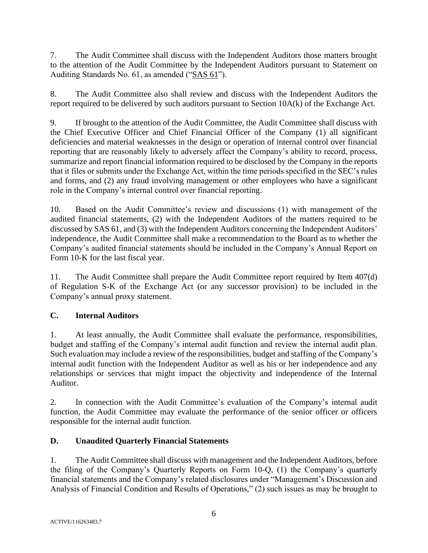7. The Audit Committee shall discuss with the Independent Auditors those matters brought to the attention of the Audit Committee by the Independent Auditors pursuant to Statement on Auditing Standards No. 61, as amended ("SAS 61").

8. The Audit Committee also shall review and discuss with the Independent Auditors the report required to be delivered by such auditors pursuant to Section 10A(k) of the Exchange Act.

9. If brought to the attention of the Audit Committee, the Audit Committee shall discuss with the Chief Executive Officer and Chief Financial Officer of the Company (1) all significant deficiencies and material weaknesses in the design or operation of internal control over financial reporting that are reasonably likely to adversely affect the Company's ability to record, process, summarize and report financial information required to be disclosed by the Company in the reports that it files or submits under the Exchange Act, within the time periods specified in the SEC's rules and forms, and (2) any fraud involving management or other employees who have a significant role in the Company's internal control over financial reporting.

10. Based on the Audit Committee's review and discussions (1) with management of the audited financial statements, (2) with the Independent Auditors of the matters required to be discussed by SAS 61, and (3) with the Independent Auditors concerning the Independent Auditors' independence, the Audit Committee shall make a recommendation to the Board as to whether the Company's audited financial statements should be included in the Company's Annual Report on Form 10-K for the last fiscal year.

11. The Audit Committee shall prepare the Audit Committee report required by Item 407(d) of Regulation S-K of the Exchange Act (or any successor provision) to be included in the Company's annual proxy statement.

# **C. Internal Auditors**

1. At least annually, the Audit Committee shall evaluate the performance, responsibilities, budget and staffing of the Company's internal audit function and review the internal audit plan. Such evaluation may include a review of the responsibilities, budget and staffing of the Company's internal audit function with the Independent Auditor as well as his or her independence and any relationships or services that might impact the objectivity and independence of the Internal Auditor.

2. In connection with the Audit Committee's evaluation of the Company's internal audit function, the Audit Committee may evaluate the performance of the senior officer or officers responsible for the internal audit function.

# **D. Unaudited Quarterly Financial Statements**

1. The Audit Committee shall discuss with management and the Independent Auditors, before the filing of the Company's Quarterly Reports on Form 10-Q, (1) the Company's quarterly financial statements and the Company's related disclosures under "Management's Discussion and Analysis of Financial Condition and Results of Operations," (2) such issues as may be brought to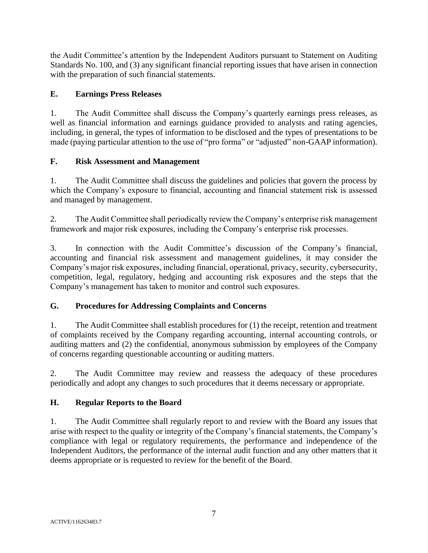the Audit Committee's attention by the Independent Auditors pursuant to Statement on Auditing Standards No. 100, and (3) any significant financial reporting issues that have arisen in connection with the preparation of such financial statements.

### **E. Earnings Press Releases**

1. The Audit Committee shall discuss the Company's quarterly earnings press releases, as well as financial information and earnings guidance provided to analysts and rating agencies, including, in general, the types of information to be disclosed and the types of presentations to be made (paying particular attention to the use of "pro forma" or "adjusted" non-GAAP information).

### **F. Risk Assessment and Management**

1. The Audit Committee shall discuss the guidelines and policies that govern the process by which the Company's exposure to financial, accounting and financial statement risk is assessed and managed by management.

2. The Audit Committee shall periodically review the Company's enterprise risk management framework and major risk exposures, including the Company's enterprise risk processes.

3. In connection with the Audit Committee's discussion of the Company's financial, accounting and financial risk assessment and management guidelines, it may consider the Company's major risk exposures, including financial, operational, privacy, security, cybersecurity, competition, legal, regulatory, hedging and accounting risk exposures and the steps that the Company's management has taken to monitor and control such exposures.

# **G. Procedures for Addressing Complaints and Concerns**

1. The Audit Committee shall establish procedures for (1) the receipt, retention and treatment of complaints received by the Company regarding accounting, internal accounting controls, or auditing matters and (2) the confidential, anonymous submission by employees of the Company of concerns regarding questionable accounting or auditing matters.

2. The Audit Committee may review and reassess the adequacy of these procedures periodically and adopt any changes to such procedures that it deems necessary or appropriate.

# **H. Regular Reports to the Board**

1. The Audit Committee shall regularly report to and review with the Board any issues that arise with respect to the quality or integrity of the Company's financial statements, the Company's compliance with legal or regulatory requirements, the performance and independence of the Independent Auditors, the performance of the internal audit function and any other matters that it deems appropriate or is requested to review for the benefit of the Board.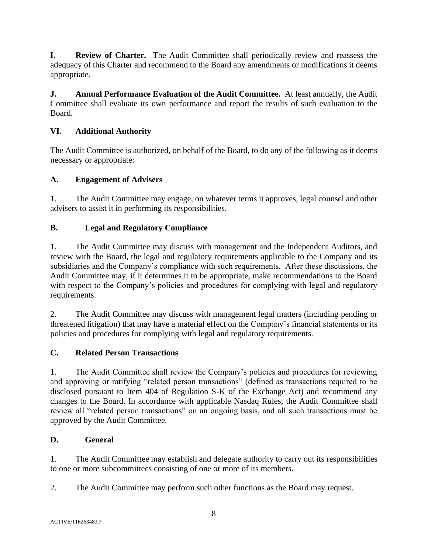**I. Review of Charter.** The Audit Committee shall periodically review and reassess the adequacy of this Charter and recommend to the Board any amendments or modifications it deems appropriate.

**J. Annual Performance Evaluation of the Audit Committee.** At least annually, the Audit Committee shall evaluate its own performance and report the results of such evaluation to the Board.

# **VI. Additional Authority**

The Audit Committee is authorized, on behalf of the Board, to do any of the following as it deems necessary or appropriate:

# **A. Engagement of Advisers**

1. The Audit Committee may engage, on whatever terms it approves, legal counsel and other advisers to assist it in performing its responsibilities.

### **B. Legal and Regulatory Compliance**

1. The Audit Committee may discuss with management and the Independent Auditors, and review with the Board, the legal and regulatory requirements applicable to the Company and its subsidiaries and the Company's compliance with such requirements. After these discussions, the Audit Committee may, if it determines it to be appropriate, make recommendations to the Board with respect to the Company's policies and procedures for complying with legal and regulatory requirements.

2. The Audit Committee may discuss with management legal matters (including pending or threatened litigation) that may have a material effect on the Company's financial statements or its policies and procedures for complying with legal and regulatory requirements.

#### **C. Related Person Transactions**

1. The Audit Committee shall review the Company's policies and procedures for reviewing and approving or ratifying "related person transactions" (defined as transactions required to be disclosed pursuant to Item 404 of Regulation S-K of the Exchange Act) and recommend any changes to the Board. In accordance with applicable Nasdaq Rules, the Audit Committee shall review all "related person transactions" on an ongoing basis, and all such transactions must be approved by the Audit Committee.

# **D. General**

1. The Audit Committee may establish and delegate authority to carry out its responsibilities to one or more subcommittees consisting of one or more of its members.

2. The Audit Committee may perform such other functions as the Board may request.